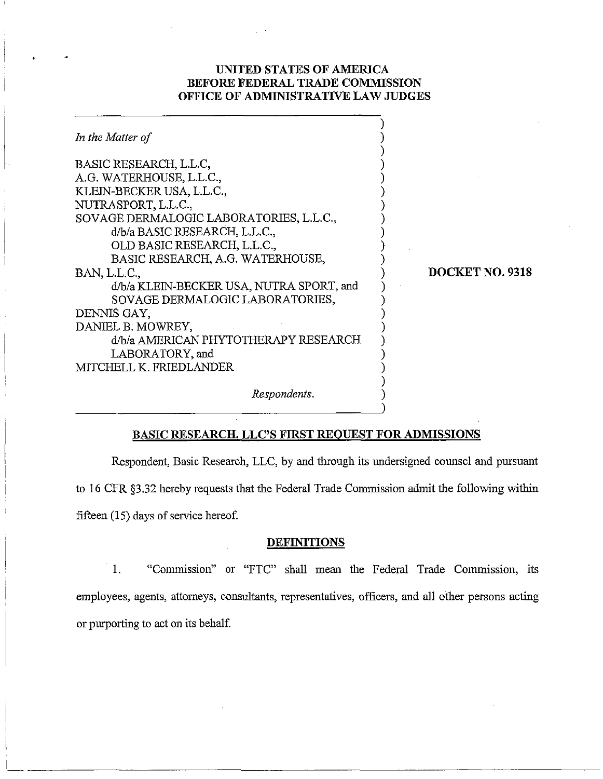## **UNITED STATES OF AMERICA BEFORE FEDERAL TRADE COMMISSION OFFICE OF ADMINISTRATIVE LAW JUDGES**

| In the Matter of                                                                                                                                                                                                                                      |                 |
|-------------------------------------------------------------------------------------------------------------------------------------------------------------------------------------------------------------------------------------------------------|-----------------|
| BASIC RESEARCH, L.L.C,<br>A.G. WATERHOUSE, L.L.C.,<br>KLEIN-BECKER USA, L.L.C.,<br>NUTRASPORT, L.L.C.,<br>SOVAGE DERMALOGIC LABORATORIES, L.L.C.,<br>d/b/a BASIC RESEARCH, L.L.C.,<br>OLD BASIC RESEARCH, L.L.C.,<br>BASIC RESEARCH, A.G. WATERHOUSE, |                 |
| BAN, L.L.C.,<br>d/b/a KLEIN-BECKER USA, NUTRA SPORT, and<br>SOVAGE DERMALOGIC LABORATORIES,<br>DENNIS GAY,<br>DANIEL B. MOWREY,<br>d/b/a AMERICAN PHYTOTHERAPY RESEARCH<br>LABORATORY, and<br>MITCHELL K. FRIEDLANDER                                 | DOCKET NO. 9318 |
| Respondents.                                                                                                                                                                                                                                          |                 |

# **BASIC RESEARCH. LLC'S FIRST REQUEST FOR ADMISSIONS**

Respondent, Basic Research, LLC, by and through its undersigned counsel and pursuant to 16 CFR \$3.32 hereby requests that the Federal Trade Commission admit the following within fifteen (15) days of service hereof.

### **DEFINITIONS**

1. "Conmission" or "FTC" shall mean the Federal Trade Commission, its employees, agents, attorneys, consultants, representatives, officers, and all other persons acting or purporting to act on its behalf.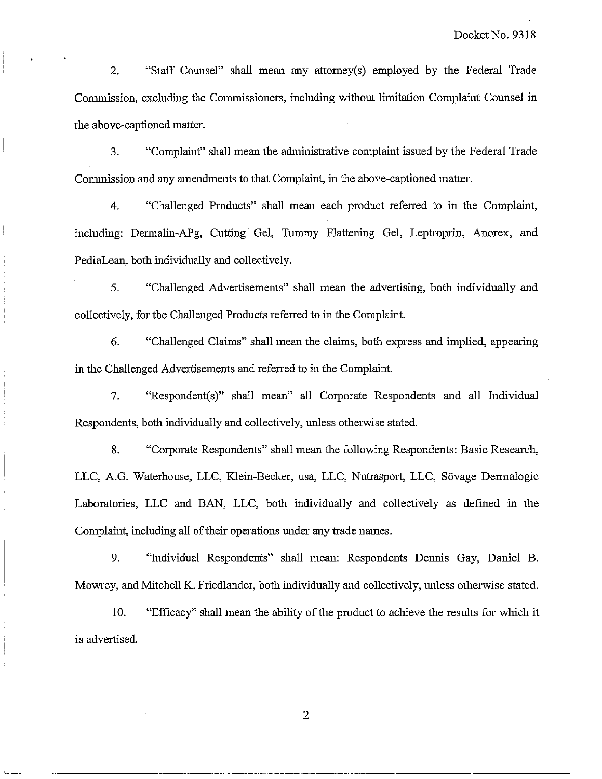2. "Staff Counsel" shall mean any attorney(s) employed by the Federal Trade Commission, excluding the Commissioners, including without limitation Complaint Counsel in the above-captioned matter.

**3.** "Complaint" shall mean the administrative complaint issued by the Federal Trade Commission and any amendments to that Complaint, in the above-captioned matter.

4. "Challenged Products" shall mean each product referred to in the Complaint, including: Dermalin-APg, Cutting Gel, Tummy Flattening Gel, Leptroprin, Anorex, and PediaLean, both individually and collectively.

5. "Challenged Advertisements" shall mean the advertising, both individually and collectively, for the Challenged Products referred to in the Complaint.

*6.* "Challenged Claims" shall mean the claims, both express and implied, appearing in the Challenged Advertisements and referred to in the Complaint.

7. "Respondent(s)" shall mean" all Corporate Respondents and all Individual Respondents, both individually and collectively, unless otherwise stated.

8. "Corporate Respondents" shall mean the following Respondents: Basic Research, LLC, A.G. Waterhouse, LLC, Klein-Becker, usa, LLC, Nutrasport, LLC, Sövage Dermalogic Laboratories, LLC and BAN, LLC, both individually and collectively **as** defined in the Complaint, including all of their operations under any trade names.

9. "Individual Respondents'' shall mean: Respondents Dennis Gay, Daniel B. Mowey, and Mitchell K. Friedlander, both individually and collectively, unless otherwise stated.

10. "Efficacy" shall mean the ability of the product to achieve the results for which it is advertised.

 $\overline{2}$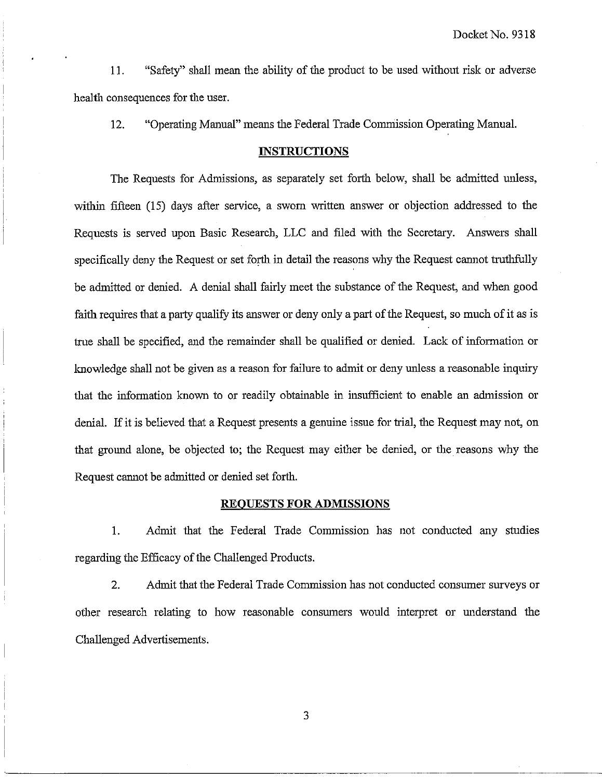11. "Safety" shall mean the ability of the product to be used without risk or adverse health consequences for the user.

12. "Operating Manual" means the Federal Trade Commission Operating Manual.

#### **INSTRUCTIONS**

The Requests for Admissions, as separately set forth below, shall be admitted unless, within fifteen (15) days after service, a sworn written answer or objection addressed to the Requests is served upon Basic Research, LLC and filed with the Secretary. Answers shall specifically deny the Request or set forth in detail the reasons why the Request cannot truthfully be admitted or denied. A denial shall fairly meet the substance of the Request, and when good faith requires that a party qualify its answer or deny only a part of the Request, so much of it as is true shall be specified, and the remainder shall be qualified or denied. Lack of information or knowledge shall not be given as a reason for failure to admit or deny unless a reasonable inquiry that the information known to or readily obtainable in insufficient to enable an admission or denial. If it is believed that a Request presents a genuine issue for trial, the Request may not, on that ground alone, be objected to; the Request may either be denied, or the reasons why ihe Request cannot be admitted or denied set forth.

#### **REQUESTS FOR ADMISSIONS**

1. Admit that the Federal Trade Commission has not conducted any studies regarding the Efficacy of the Challenged Products.

2. Admit that the Federal Trade Commission has not conducted consumer surveys or other research relating to how reasonable consumers would interpret or understand the Challenged Advertisements.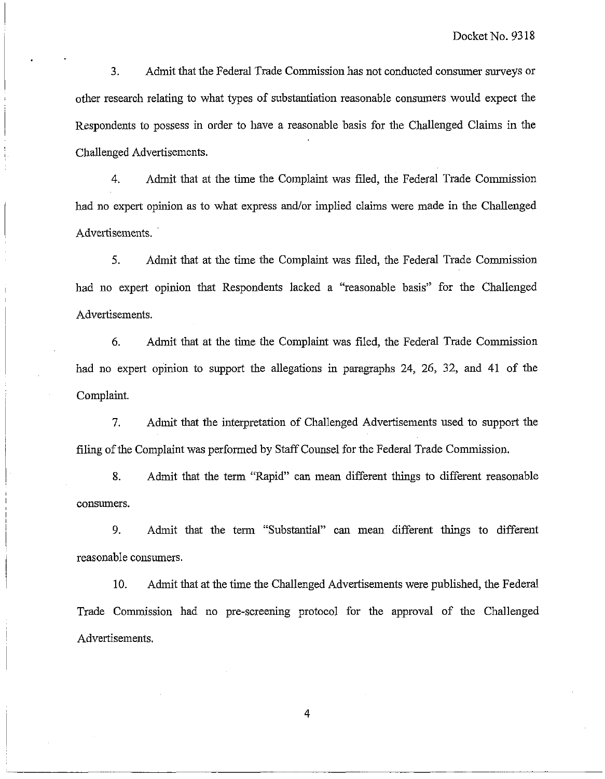3. Admit that the Federal Trade Commission has not conducted consumer surveys or other research relating to what types of substantiation reasonable consuners would expect the Respondents to possess in order to have a reasonable basis for the Challenged Claims in the Challenged Advertisements.

4. Admit that at the time the Complaint was filed, the Federal Trade Commission had no expert opinion as to what express and/or implied claims were made in the Challenged Advertisements.

5. Admit that at the time the Complaint was filed, the Fedefal Trade Commission bad no expert opinion that Respondents lacked a "reasonable basis" for the Challenged Advertisements.

6. Admit that at the time the Complaint was filed, the Federal Trade Commission had no expert opinion to support the allegations in paragraphs 24, 26, 32, and 41 of the Complaint.

7. Adinit that the interpretation of Challenged Advertisements used to support the filing of the Complaint was performed by Staff Counsel for the Federal Trade Commission.

8. Admit that the term "Rapid" can mean different things to different reasonable consumers.

9. Admit that the term "Substantial" can mean different things to different reasonable consumers.

10. Admit that at the time the Challenged Advertisements were published, the Federal Trade Commission had no pre-screening protocol for the approval of the Challenged Advertisements.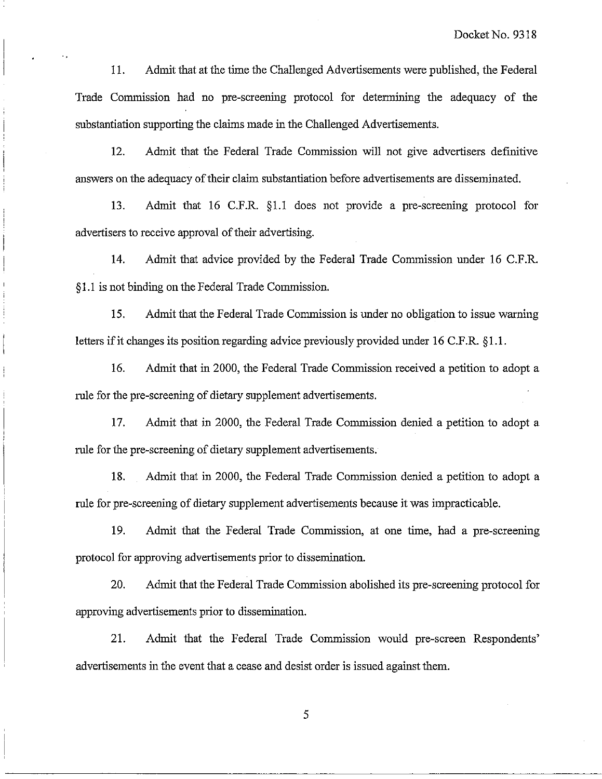11. Admit that at the time the Challenged Advertisements were published, the Federal Trade Commission had no pre-screening protocol for determining the adequacy of the substantiation supporting the claims made in the Challenged Advertisements.

12. Admit that the Federal Trade Commission will not give advertisers definitive answers on the adequacy of their claim substantiation before advertisements are disseminated.

13. Admit that 16 C.F.R. \$1.1 does not provide a pre-screening protocol for advertisers to receive approval of their advertising.

14. Admit that advice provided by the Federal Trade Commission under 16 C.F.R. 51.1 is not binding on the Federal Trade Commission.

15. Adinit that the Federal Trade Commission is under no obligation to issue warning letters if it changes its position regarding advice previously provided under 16 C.F.R. §1.1.

16. Admit that in 2000, the Federal Trade Commission received a petition to adopt a rule for the pre-screening of dietary supplement advertisements.

17. Admit that in 2000, the Federal Trade Commission denied a petition to adopt a rule for the pre-screening of dietary supplement advertisements.

18. Admit that in 2000, the Federal Trade Commission denied a petition to adopt a rule for pre-screening of dietary supplement advertisements because it was impracticable.

19. Admit that the Federal Trade Conunission, at one time, had a pre-screening protocol for approving advertisements prior to dissemination.

20. Admit that the Federal Trade Commission abolished its pre-screening protocol for approving advertisements prior to dissemination.

21. Admit that the Federal Trade Commission would pre-screen Respondents' advertisements in the event that a cease and desist order is issued against them.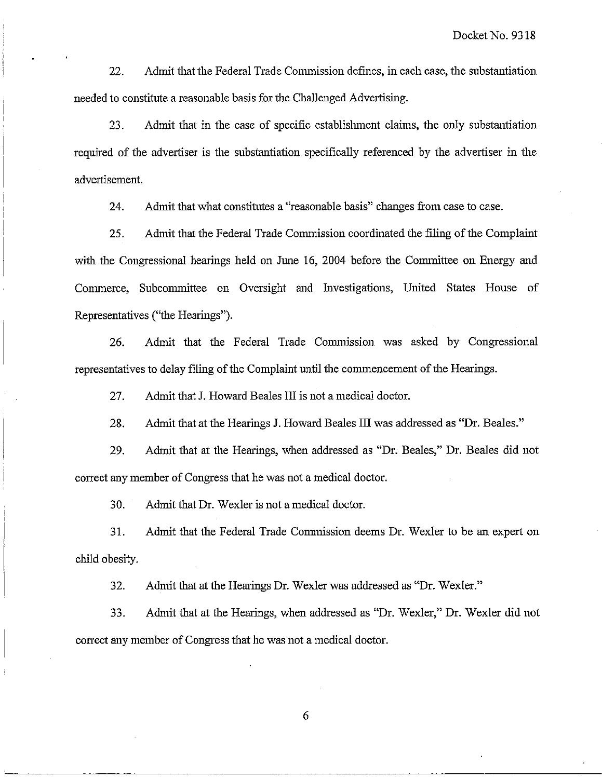22. Admit that the Federal Trade Commission defines, in each case, the substantiation needed to constitute a reasonable basis for the Challenged Advertising.

23. Admit that in the case of specific establislnnent claims, the only substantiation required of the advertiser is the substantiation specifically referenced by the advertiser in the advertisement.

24. Admit that what constitutes a "reasonable basis" changes from case to case.

25. Admit that the Federal Trade Commission coordinated the filing of the Complaint with the Congressional hearings held on June 16, 2004 before the Committee on Energy and Commerce, Subcommittee on Oversight and Investigations, United States House of Representatives ("the Hearings").

26. Admit that the Federal Trade Commission was asked by Congressional representatives to delay filing of the Complaint until the commencement of the Hearings.

27. Admit that J. Howard Beales III is not a medical doctor.

28. Admit that at the Hearings J. Howard Beales III was addressed as "Dr. Beales."

29. Admit that at the Hearings, when addressed as "Dr. Beales," Dr. Beales did not correct any member of Congress that he was not a medical doctor.

30. Admit that Dr. Wexler is not a medical doctor.

31. Admit that the Federal Trade Commission deems Dr. Wexler to be an expert on child obesity.

32. Admit that at the Hearings Dr. Wexler was addressed as "Dr. Wexler."

33. Admit that at the Hearings, when addressed as "Dr. Wexler," Dr. Wexler did not correct any member of Congress that he was not a medical doctor.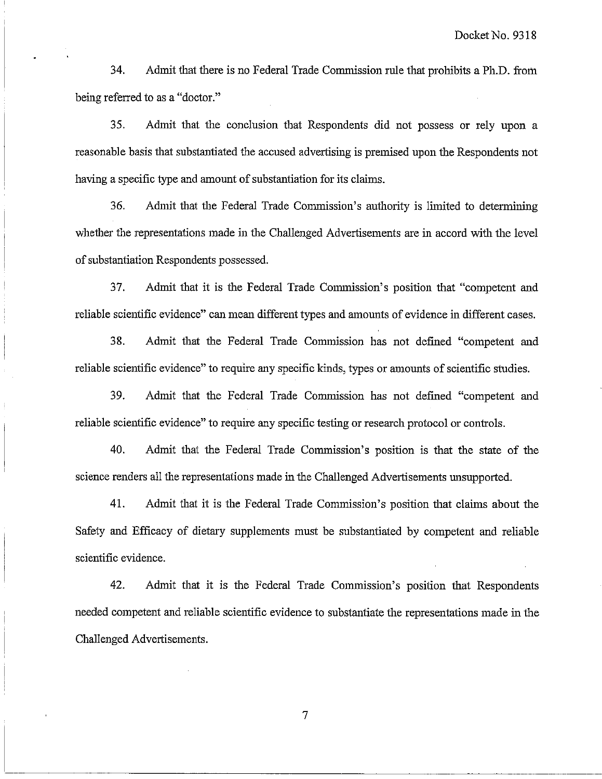34. Admit that there is no Federal Trade Commission rule that prohibits a Ph.D. from being referred to as a "doctor."

35. Admit that ihe conclusion that Respondents did not possess or rely upon a reasonable basis that substantiated the accused advertising is premised upon the Respondents not having a specific type and amount of substantiation for its claims.

36. Admit that the Federal Trade Commission's authority is linited to determiniug whether the representations made in the Challenged Advertisements are in accord with the level of substantiation Respondents possessed.

37. Admit that it is the Federal Trade Commission's position that "competent and reliable scientific evidence" can mean different types and amounts of evidence in different cases.

38. Admit that the Federal Trade Commission has not defined "competent and reliable scientific evidence" to require any specific kinds, types or amounts of scientific studies.

**39.** Admit that the Federal Trade Comnussion has not defined "competent and reliable scientific evidence" to require any specific testing or research protocol or controls.

40. Admit that the Federal Trade Commission's position is that the state of the science renders all the representations made in the Challenged Advertisements unsupported.

41. Admit that it is the Federal Trade Commission's position that claims about the Safety and Efficacy of dietary supplements must be substautiated by competent and reliable scientific evidence.

42. Admit that it is the Federal Trade Comnission's position that Respondents needed competent and reliable scientific evidence to substantiate the representations made in the Challenged Advertisements.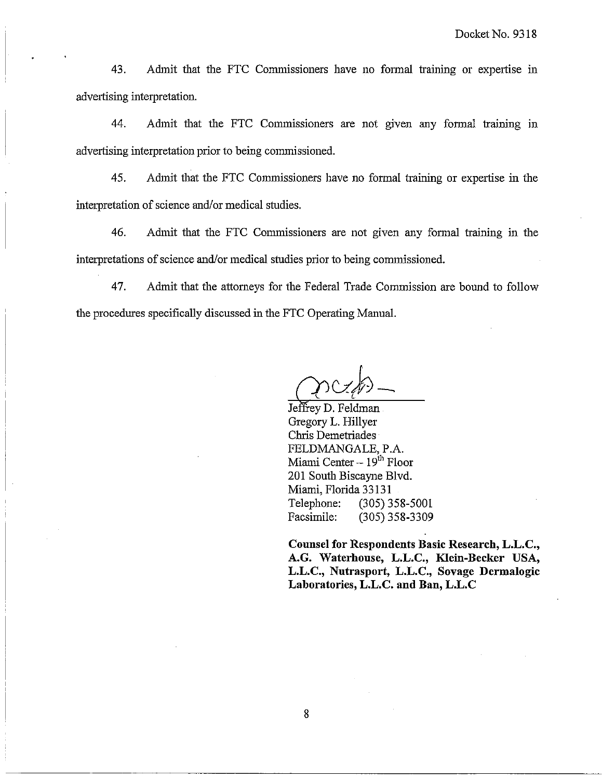43. Admit that the FTC Commissioners have no formal training or expertise in advertising interpretation.

44. Admit that the FTC Commissioners are not given any formal training in advertising interpretation prior to being commissioned.

45. Admit that the FTC Commissioners have no formal training or expertise in the interpretation of science and/or medical studies.

46. Adnut that the FTC Commissioners are not given any formal training in the interpretations of science and/or medical studies prior to being commissioned.

47. Admit that the attorneys for the Federal Trade Commission are bound to follow the procedures specifically discussed in the FTC Operating Manual.

Jeffrey D. Feldman Gregory L. Hillyer Chris Demetriades FELDMANGALE, P.A. Miami Center  $-19<sup>th</sup>$  Floor 201 South Biscayne Blvd. Miami, Florida 33 13 1 Telephone: (305) 358-5001 Facsimile: (305) 358-3309

**Counsel for Respondents Basic Research, L.L.C., A.G. Waterhouse, L.L.C., Klein-Becker USA, L.L.C., Nutrasport, L.L.C., Sovage Dermalogic Laboratories, L.L.C. and Ban, L.L.C**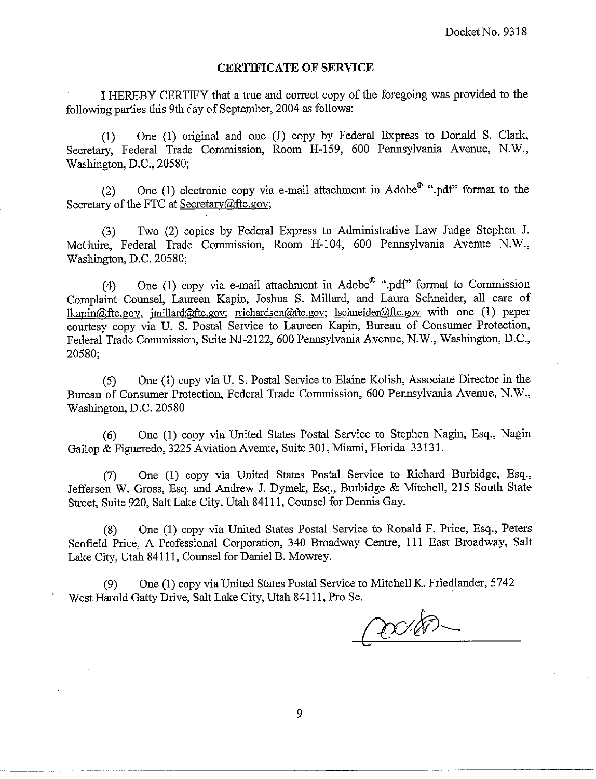### **CERTIFICATE OF SERVICE**

I HEREBY CERTIFY that a true and correct copy of the foregoing was provided to the following parties this 9th day of September, 2004 as follows:

(1) One (1) original and one (1) copy by Federal Express to Donald S. Clark, Secretary, Federal Trade Commission, Room H-159, 600 Pennsylvania Avenue, N.W., Washington, D.C., 20580;

(2) One (1) electronic copy via e-mail attachment in  $\text{Adobe}^{\circledR}$  ".pdf" format to the Secretary of the FTC at Secretary@ftc.gov;

(3) Two (2) copies by Federal Express to Administrative Law Judge Stephen J. McGuire, Federal Trade Commission, Room H-104, 600 Pennsylvania Avenue N.W., Waslingion, D.C. 20580;

(4) One (1) copy via e-mail attachment in Adobe<sup>®</sup> ".pdf" format to Commission Complaint Counsel, Laureen Kapin, Joshua S. Millard, and Laura Schneider, all care of lkapin@ftc.gov, jmillard@ftc.gov; rrichardson@ftc.gov; lschneider@ftc.gov with one (1) paper courtesy copy via U. S. Postal Service to Laureen Kapin, Bureau of Consumer Protection, Federal Trade Commission, Suite NJ-2122, 600 Pemsylvania Avenue, N.W., Washington, D.C., 20580;

(5) One (1) copy via U. S. Postal Service to Elaine Kolish, Associate Director in the Bureau of Consumer Protection, Federal Trade Commission, 600 Pennsylvania Avenue, N.W., Waslington, D.C. 20580

(6) One (1) copy via United States Postal Service to Stephen Nagin, Esq., Nagin Gallop & Figueredo, 3225 Aviation Avenue, Suite 301, Miami, Florida 33131.

(7) One (I) copy via United States Postal Service to Richard Burbidge, Esq., Jefferson W. Gross, Esq. and Andrew J. Dymek, Esq., Burbidge & Mitchell, 215 South State Street, Suite 920, Salt Lake City, Utah 841 11, Counsel for Dennis Gay.

(8) One (1) copy via United States Postal Service to Ronald F. Price, Esq., Peters Scofield Price, A Professional Corporation, 340 Broadway Centre, 111 East Broadway, Salt Lake City, Utah 84111, Counsel for Daniel B. Mowrey.

(9) One (1) copy via United States Postal Service to Mitchell K. Friedlander, 5742 West Harold Gatty Drive, Salt Lake City, Utah 84111, Pro Se.

 $\infty$ EV-